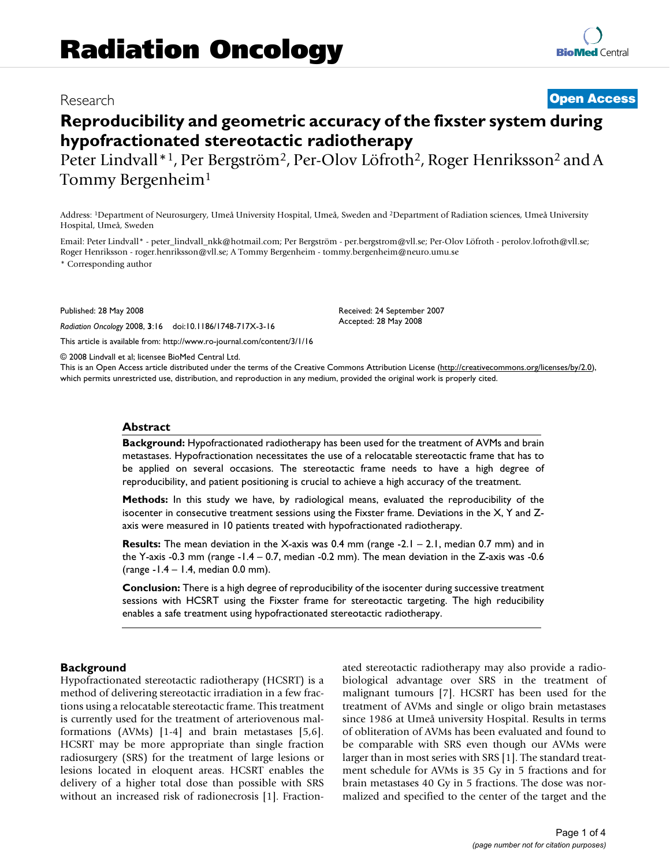## Research **[Open Access](http://www.biomedcentral.com/info/about/charter/)**

# **Reproducibility and geometric accuracy of the fixster system during hypofractionated stereotactic radiotherapy**

Peter Lindvall<sup>\*1</sup>, Per Bergström<sup>2</sup>, Per-Olov Löfroth<sup>2</sup>, Roger Henriksson<sup>2</sup> and A Tommy Bergenheim1

Address: 1Department of Neurosurgery, Umeå University Hospital, Umeå, Sweden and 2Department of Radiation sciences, Umeå University Hospital, Umeå, Sweden

Email: Peter Lindvall\* - peter\_lindvall\_nkk@hotmail.com; Per Bergström - per.bergstrom@vll.se; Per-Olov Löfroth - perolov.lofroth@vll.se; Roger Henriksson - roger.henriksson@vll.se; A Tommy Bergenheim - tommy.bergenheim@neuro.umu.se

\* Corresponding author

Published: 28 May 2008

*Radiation Oncology* 2008, **3**:16 doi:10.1186/1748-717X-3-16

[This article is available from: http://www.ro-journal.com/content/3/1/16](http://www.ro-journal.com/content/3/1/16)

© 2008 Lindvall et al; licensee BioMed Central Ltd.

This is an Open Access article distributed under the terms of the Creative Commons Attribution License [\(http://creativecommons.org/licenses/by/2.0\)](http://creativecommons.org/licenses/by/2.0), which permits unrestricted use, distribution, and reproduction in any medium, provided the original work is properly cited.

Received: 24 September 2007 Accepted: 28 May 2008

#### **Abstract**

**Background:** Hypofractionated radiotherapy has been used for the treatment of AVMs and brain metastases. Hypofractionation necessitates the use of a relocatable stereotactic frame that has to be applied on several occasions. The stereotactic frame needs to have a high degree of reproducibility, and patient positioning is crucial to achieve a high accuracy of the treatment.

**Methods:** In this study we have, by radiological means, evaluated the reproducibility of the isocenter in consecutive treatment sessions using the Fixster frame. Deviations in the X, Y and Zaxis were measured in 10 patients treated with hypofractionated radiotherapy.

**Results:** The mean deviation in the X-axis was 0.4 mm (range -2.1 – 2.1, median 0.7 mm) and in the Y-axis -0.3 mm (range  $-1.4 - 0.7$ , median -0.2 mm). The mean deviation in the Z-axis was -0.6 (range -1.4 – 1.4, median 0.0 mm).

**Conclusion:** There is a high degree of reproducibility of the isocenter during successive treatment sessions with HCSRT using the Fixster frame for stereotactic targeting. The high reducibility enables a safe treatment using hypofractionated stereotactic radiotherapy.

#### **Background**

Hypofractionated stereotactic radiotherapy (HCSRT) is a method of delivering stereotactic irradiation in a few fractions using a relocatable stereotactic frame. This treatment is currently used for the treatment of arteriovenous malformations (AVMs) [1-4] and brain metastases [5,6]. HCSRT may be more appropriate than single fraction radiosurgery (SRS) for the treatment of large lesions or lesions located in eloquent areas. HCSRT enables the delivery of a higher total dose than possible with SRS without an increased risk of radionecrosis [1]. Fractionated stereotactic radiotherapy may also provide a radiobiological advantage over SRS in the treatment of malignant tumours [7]. HCSRT has been used for the treatment of AVMs and single or oligo brain metastases since 1986 at Umeå university Hospital. Results in terms of obliteration of AVMs has been evaluated and found to be comparable with SRS even though our AVMs were larger than in most series with SRS [1]. The standard treatment schedule for AVMs is 35 Gy in 5 fractions and for brain metastases 40 Gy in 5 fractions. The dose was normalized and specified to the center of the target and the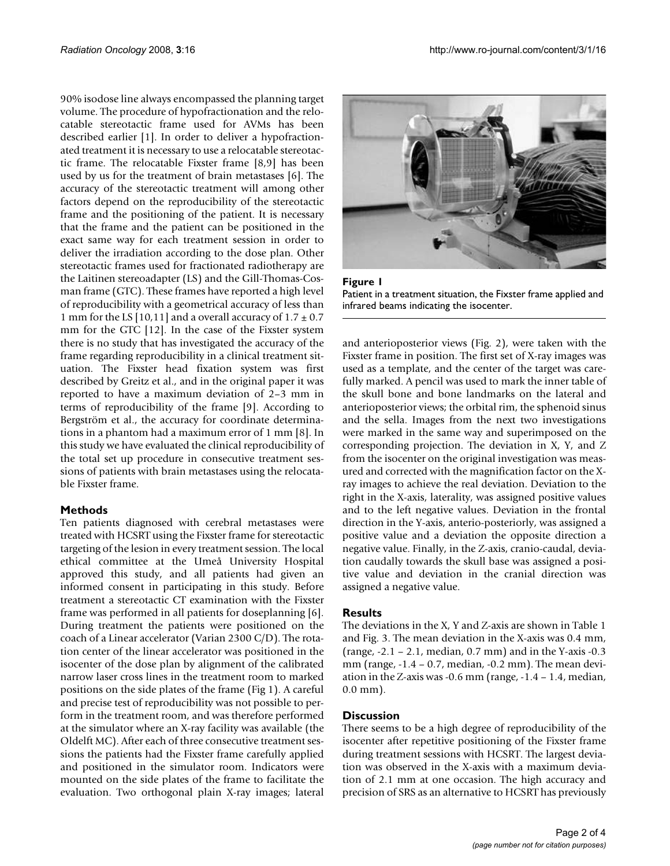90% isodose line always encompassed the planning target volume. The procedure of hypofractionation and the relocatable stereotactic frame used for AVMs has been described earlier [1]. In order to deliver a hypofractionated treatment it is necessary to use a relocatable stereotactic frame. The relocatable Fixster frame [8,9] has been used by us for the treatment of brain metastases [6]. The accuracy of the stereotactic treatment will among other factors depend on the reproducibility of the stereotactic frame and the positioning of the patient. It is necessary that the frame and the patient can be positioned in the exact same way for each treatment session in order to deliver the irradiation according to the dose plan. Other stereotactic frames used for fractionated radiotherapy are the Laitinen stereoadapter (LS) and the Gill-Thomas-Cosman frame (GTC). These frames have reported a high level of reproducibility with a geometrical accuracy of less than 1 mm for the LS [10,11] and a overall accuracy of  $1.7 \pm 0.7$ mm for the GTC [12]. In the case of the Fixster system there is no study that has investigated the accuracy of the frame regarding reproducibility in a clinical treatment situation. The Fixster head fixation system was first described by Greitz et al., and in the original paper it was reported to have a maximum deviation of 2–3 mm in terms of reproducibility of the frame [9]. According to Bergström et al., the accuracy for coordinate determinations in a phantom had a maximum error of 1 mm [8]. In this study we have evaluated the clinical reproducibility of the total set up procedure in consecutive treatment sessions of patients with brain metastases using the relocatable Fixster frame.

#### **Methods**

Ten patients diagnosed with cerebral metastases were treated with HCSRT using the Fixster frame for stereotactic targeting of the lesion in every treatment session. The local ethical committee at the Umeå University Hospital approved this study, and all patients had given an informed consent in participating in this study. Before treatment a stereotactic CT examination with the Fixster frame was performed in all patients for doseplanning [6]. During treatment the patients were positioned on the coach of a Linear accelerator (Varian 2300 C/D). The rotation center of the linear accelerator was positioned in the isocenter of the dose plan by alignment of the calibrated narrow laser cross lines in the treatment room to marked positions on the side plates of the frame (Fig 1). A careful and precise test of reproducibility was not possible to perform in the treatment room, and was therefore performed at the simulator where an X-ray facility was available (the Oldelft MC). After each of three consecutive treatment sessions the patients had the Fixster frame carefully applied and positioned in the simulator room. Indicators were mounted on the side plates of the frame to facilitate the evaluation. Two orthogonal plain X-ray images; lateral



**Figure 1** Patient in a treatment situation, the Fixster frame applied and infrared beams indicating the isocenter.

and anterioposterior views (Fig. 2), were taken with the Fixster frame in position. The first set of X-ray images was used as a template, and the center of the target was carefully marked. A pencil was used to mark the inner table of the skull bone and bone landmarks on the lateral and anterioposterior views; the orbital rim, the sphenoid sinus and the sella. Images from the next two investigations were marked in the same way and superimposed on the corresponding projection. The deviation in X, Y, and Z from the isocenter on the original investigation was measured and corrected with the magnification factor on the Xray images to achieve the real deviation. Deviation to the right in the X-axis, laterality, was assigned positive values and to the left negative values. Deviation in the frontal direction in the Y-axis, anterio-posteriorly, was assigned a positive value and a deviation the opposite direction a negative value. Finally, in the Z-axis, cranio-caudal, deviation caudally towards the skull base was assigned a positive value and deviation in the cranial direction was assigned a negative value.

#### **Results**

The deviations in the X, Y and Z-axis are shown in Table 1 and Fig. 3. The mean deviation in the X-axis was 0.4 mm, (range, -2.1 – 2.1, median, 0.7 mm) and in the Y-axis -0.3 mm (range, -1.4 – 0.7, median, -0.2 mm). The mean deviation in the Z-axis was -0.6 mm (range, -1.4 – 1.4, median, 0.0 mm).

#### **Discussion**

There seems to be a high degree of reproducibility of the isocenter after repetitive positioning of the Fixster frame during treatment sessions with HCSRT. The largest deviation was observed in the X-axis with a maximum deviation of 2.1 mm at one occasion. The high accuracy and precision of SRS as an alternative to HCSRT has previously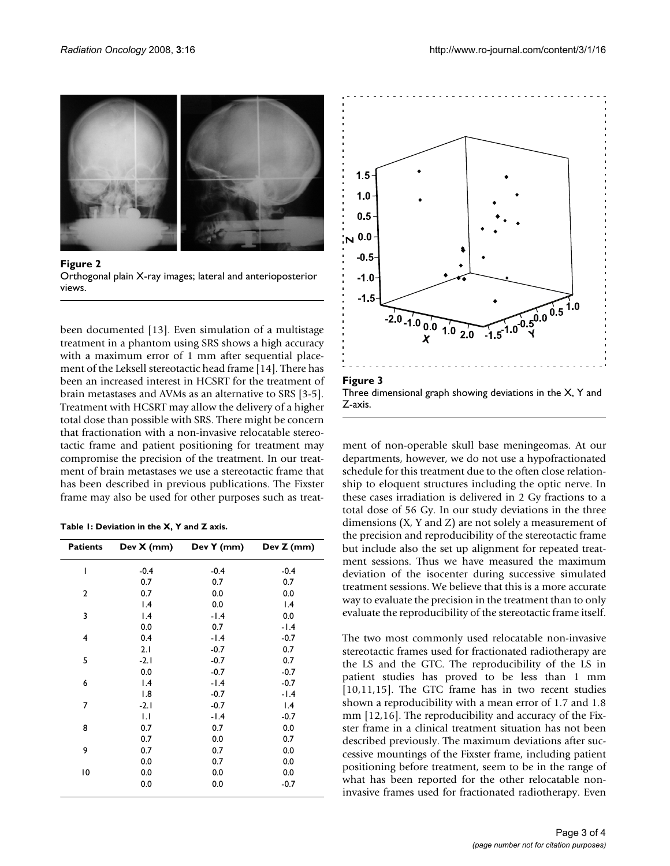

Figure 2 Orthogonal plain X-ray images; lateral and anterioposterior views.

been documented [13]. Even simulation of a multistage treatment in a phantom using SRS shows a high accuracy with a maximum error of 1 mm after sequential placement of the Leksell stereotactic head frame [14]. There has been an increased interest in HCSRT for the treatment of brain metastases and AVMs as an alternative to SRS [3-5]. Treatment with HCSRT may allow the delivery of a higher total dose than possible with SRS. There might be concern that fractionation with a non-invasive relocatable stereotactic frame and patient positioning for treatment may compromise the precision of the treatment. In our treatment of brain metastases we use a stereotactic frame that has been described in previous publications. The Fixster frame may also be used for other purposes such as treat-

|  |  | Table 1: Deviation in the X, Y and Z axis. |  |  |  |  |  |  |  |
|--|--|--------------------------------------------|--|--|--|--|--|--|--|
|--|--|--------------------------------------------|--|--|--|--|--|--|--|

| <b>Patients</b> | Dev X (mm) | Dev Y (mm) | Dev Z (mm) |
|-----------------|------------|------------|------------|
| I               | $-0.4$     | $-0.4$     | $-0.4$     |
|                 | 0.7        | 0.7        | 0.7        |
| 2               | 0.7        | 0.0        | 0.0        |
|                 | 1.4        | 0.0        | 1.4        |
| 3               | 1.4        | $-1.4$     | 0.0        |
|                 | 0.0        | 0.7        | $-1.4$     |
| $\overline{4}$  | 0.4        | $-1.4$     | $-0.7$     |
|                 | 2.1        | $-0.7$     | 0.7        |
| 5               | $-2.1$     | $-0.7$     | 0.7        |
|                 | 0.0        | $-0.7$     | $-0.7$     |
| 6               | 1.4        | $-1.4$     | $-0.7$     |
|                 | 1.8        | $-0.7$     | $-1.4$     |
| 7               | $-2.1$     | $-0.7$     | 1.4        |
|                 | 1.1        | $-1.4$     | $-0.7$     |
| 8               | 0.7        | 0.7        | 0.0        |
|                 | 0.7        | 0.0        | 0.7        |
| 9               | 0.7        | 0.7        | 0.0        |
|                 | 0.0        | 0.7        | 0.0        |
| 10              | 0.0        | 0.0        | 0.0        |
|                 | 0.0        | 0.0        | $-0.7$     |





ment of non-operable skull base meningeomas. At our departments, however, we do not use a hypofractionated schedule for this treatment due to the often close relationship to eloquent structures including the optic nerve. In these cases irradiation is delivered in 2 Gy fractions to a total dose of 56 Gy. In our study deviations in the three dimensions (X, Y and Z) are not solely a measurement of the precision and reproducibility of the stereotactic frame but include also the set up alignment for repeated treatment sessions. Thus we have measured the maximum deviation of the isocenter during successive simulated treatment sessions. We believe that this is a more accurate way to evaluate the precision in the treatment than to only evaluate the reproducibility of the stereotactic frame itself.

The two most commonly used relocatable non-invasive stereotactic frames used for fractionated radiotherapy are the LS and the GTC. The reproducibility of the LS in patient studies has proved to be less than 1 mm [10,11,15]. The GTC frame has in two recent studies shown a reproducibility with a mean error of 1.7 and 1.8 mm [12,16]. The reproducibility and accuracy of the Fixster frame in a clinical treatment situation has not been described previously. The maximum deviations after successive mountings of the Fixster frame, including patient positioning before treatment, seem to be in the range of what has been reported for the other relocatable noninvasive frames used for fractionated radiotherapy. Even